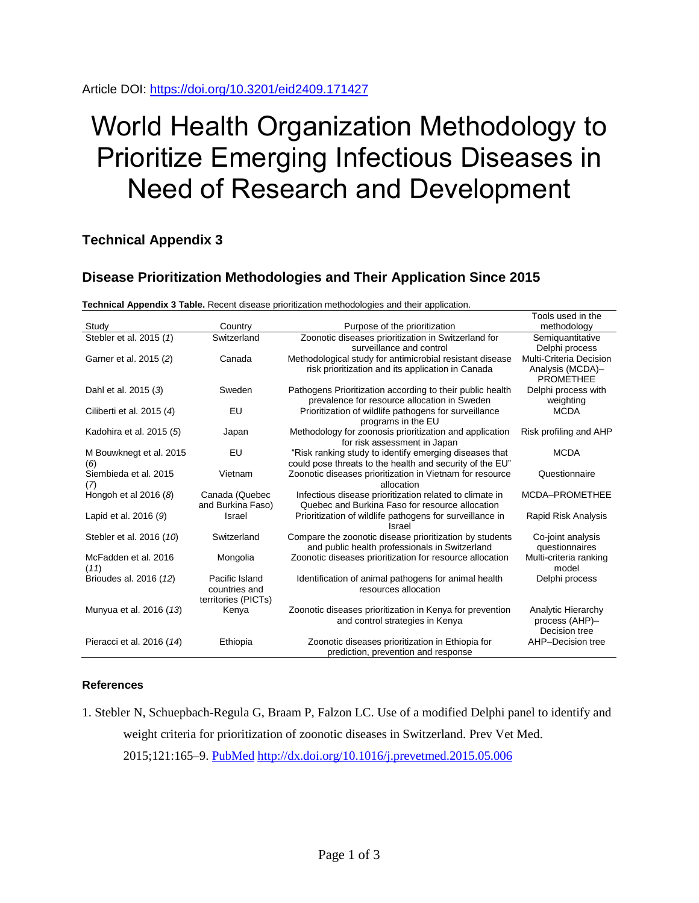## World Health Organization Methodology to Prioritize Emerging Infectious Diseases in Need of Research and Development

## **Technical Appendix 3**

## **Disease Prioritization Methodologies and Their Application Since 2015**

**Technical Appendix 3 Table.** Recent disease prioritization methodologies and their application.

|                                |                                                        |                                                                                                                    | Tools used in the                                     |
|--------------------------------|--------------------------------------------------------|--------------------------------------------------------------------------------------------------------------------|-------------------------------------------------------|
| Study                          | Country                                                | Purpose of the prioritization                                                                                      | methodology                                           |
| Stebler et al. 2015 (1)        | Switzerland                                            | Zoonotic diseases prioritization in Switzerland for                                                                | Semiquantitative                                      |
|                                |                                                        | surveillance and control                                                                                           | Delphi process                                        |
| Garner et al. 2015 (2)         | Canada                                                 | Methodological study for antimicrobial resistant disease                                                           | <b>Multi-Criteria Decision</b>                        |
|                                |                                                        | risk prioritization and its application in Canada                                                                  | Analysis (MCDA)-<br><b>PROMETHEE</b>                  |
| Dahl et al. 2015 (3)           | Sweden                                                 | Pathogens Prioritization according to their public health<br>prevalence for resource allocation in Sweden          | Delphi process with<br>weighting                      |
| Ciliberti et al. 2015 (4)      | EU                                                     | Prioritization of wildlife pathogens for surveillance<br>programs in the EU                                        | <b>MCDA</b>                                           |
| Kadohira et al. 2015 (5)       | Japan                                                  | Methodology for zoonosis prioritization and application<br>for risk assessment in Japan                            | Risk profiling and AHP                                |
| M Bouwknegt et al. 2015<br>(6) | EU                                                     | "Risk ranking study to identify emerging diseases that<br>could pose threats to the health and security of the EU" | <b>MCDA</b>                                           |
| Siembieda et al. 2015<br>(7)   | Vietnam                                                | Zoonotic diseases prioritization in Vietnam for resource<br>allocation                                             | Questionnaire                                         |
| Hongoh et al 2016 (8)          | Canada (Quebec<br>and Burkina Faso)                    | Infectious disease prioritization related to climate in<br>Quebec and Burkina Faso for resource allocation         | MCDA-PROMETHEE                                        |
| Lapid et al. 2016 (9)          | Israel                                                 | Prioritization of wildlife pathogens for surveillance in<br>Israel                                                 | Rapid Risk Analysis                                   |
| Stebler et al. 2016 (10)       | Switzerland                                            | Compare the zoonotic disease prioritization by students<br>and public health professionals in Switzerland          | Co-joint analysis<br>questionnaires                   |
| McFadden et al. 2016<br>(11)   | Mongolia                                               | Zoonotic diseases prioritization for resource allocation                                                           | Multi-criteria ranking<br>model                       |
| Brioudes al. 2016 (12)         | Pacific Island<br>countries and<br>territories (PICTs) | Identification of animal pathogens for animal health<br>resources allocation                                       | Delphi process                                        |
| Munyua et al. 2016 (13)        | Kenya                                                  | Zoonotic diseases prioritization in Kenya for prevention<br>and control strategies in Kenya                        | Analytic Hierarchy<br>process (AHP)-<br>Decision tree |
| Pieracci et al. 2016 (14)      | Ethiopia                                               | Zoonotic diseases prioritization in Ethiopia for<br>prediction, prevention and response                            | AHP-Decision tree                                     |

## **References**

1. Stebler N, Schuepbach-Regula G, Braam P, Falzon LC. Use of a modified Delphi panel to identify and weight criteria for prioritization of zoonotic diseases in Switzerland. Prev Vet Med. 2015;121:165–9. [PubMed](https://www.ncbi.nlm.nih.gov/entrez/query.fcgi?cmd=Retrieve&db=PubMed&list_uids=26036342&dopt=Abstract) <http://dx.doi.org/10.1016/j.prevetmed.2015.05.006>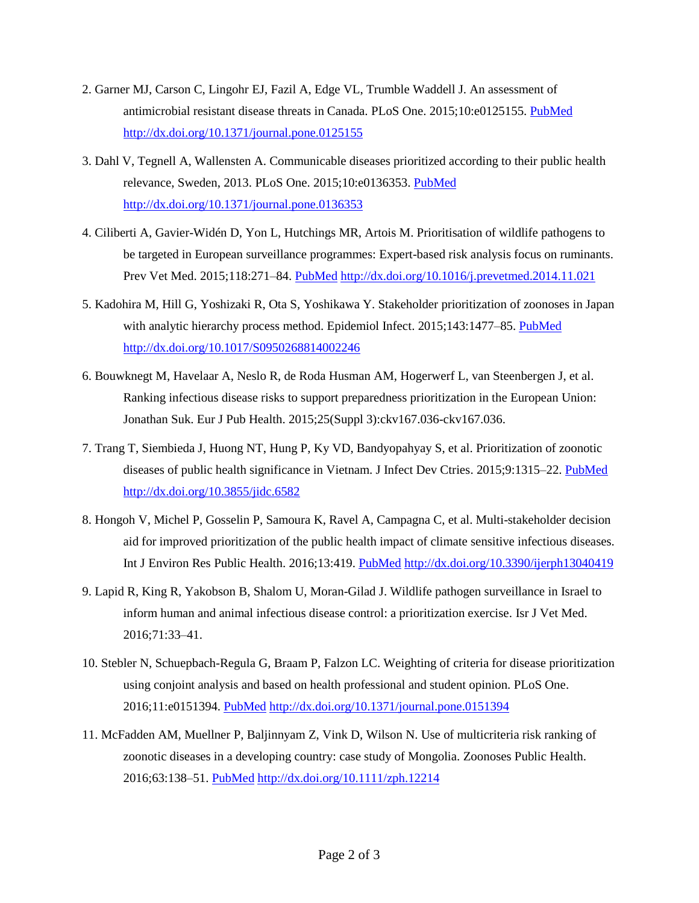- 2. Garner MJ, Carson C, Lingohr EJ, Fazil A, Edge VL, Trumble Waddell J. An assessment of antimicrobial resistant disease threats in Canada. PLoS One. 2015;10:e0125155. [PubMed](https://www.ncbi.nlm.nih.gov/entrez/query.fcgi?cmd=Retrieve&db=PubMed&list_uids=25905797&dopt=Abstract) <http://dx.doi.org/10.1371/journal.pone.0125155>
- 3. Dahl V, Tegnell A, Wallensten A. Communicable diseases prioritized according to their public health relevance, Sweden, 2013. PLoS One. 2015;10:e0136353. [PubMed](https://www.ncbi.nlm.nih.gov/entrez/query.fcgi?cmd=Retrieve&db=PubMed&list_uids=26397699&dopt=Abstract) <http://dx.doi.org/10.1371/journal.pone.0136353>
- 4. Ciliberti A, Gavier-Widén D, Yon L, Hutchings MR, Artois M. Prioritisation of wildlife pathogens to be targeted in European surveillance programmes: Expert-based risk analysis focus on ruminants. Prev Vet Med. 2015;118:271–84. [PubMed](https://www.ncbi.nlm.nih.gov/entrez/query.fcgi?cmd=Retrieve&db=PubMed&list_uids=25496774&dopt=Abstract) <http://dx.doi.org/10.1016/j.prevetmed.2014.11.021>
- 5. Kadohira M, Hill G, Yoshizaki R, Ota S, Yoshikawa Y. Stakeholder prioritization of zoonoses in Japan with analytic hierarchy process method. Epidemiol Infect. 2015;143:1477-85. [PubMed](https://www.ncbi.nlm.nih.gov/entrez/query.fcgi?cmd=Retrieve&db=PubMed&list_uids=25195643&dopt=Abstract) <http://dx.doi.org/10.1017/S0950268814002246>
- 6. Bouwknegt M, Havelaar A, Neslo R, de Roda Husman AM, Hogerwerf L, van Steenbergen J, et al. Ranking infectious disease risks to support preparedness prioritization in the European Union: Jonathan Suk. Eur J Pub Health. 2015;25(Suppl 3):ckv167.036-ckv167.036.
- 7. Trang T, Siembieda J, Huong NT, Hung P, Ky VD, Bandyopahyay S, et al. Prioritization of zoonotic diseases of public health significance in Vietnam. J Infect Dev Ctries. 2015;9:1315–22. [PubMed](https://www.ncbi.nlm.nih.gov/entrez/query.fcgi?cmd=Retrieve&db=PubMed&list_uids=26719937&dopt=Abstract) <http://dx.doi.org/10.3855/jidc.6582>
- 8. Hongoh V, Michel P, Gosselin P, Samoura K, Ravel A, Campagna C, et al. Multi-stakeholder decision aid for improved prioritization of the public health impact of climate sensitive infectious diseases. Int J Environ Res Public Health. 2016;13:419. [PubMed](https://www.ncbi.nlm.nih.gov/entrez/query.fcgi?cmd=Retrieve&db=PubMed&list_uids=27077875&dopt=Abstract) <http://dx.doi.org/10.3390/ijerph13040419>
- 9. Lapid R, King R, Yakobson B, Shalom U, Moran-Gilad J. Wildlife pathogen surveillance in Israel to inform human and animal infectious disease control: a prioritization exercise. Isr J Vet Med. 2016;71:33–41.
- 10. Stebler N, Schuepbach-Regula G, Braam P, Falzon LC. Weighting of criteria for disease prioritization using conjoint analysis and based on health professional and student opinion. PLoS One. 2016;11:e0151394. [PubMed](https://www.ncbi.nlm.nih.gov/entrez/query.fcgi?cmd=Retrieve&db=PubMed&list_uids=26967655&dopt=Abstract) <http://dx.doi.org/10.1371/journal.pone.0151394>
- 11. McFadden AM, Muellner P, Baljinnyam Z, Vink D, Wilson N. Use of multicriteria risk ranking of zoonotic diseases in a developing country: case study of Mongolia. Zoonoses Public Health. 2016;63:138–51. [PubMed](https://www.ncbi.nlm.nih.gov/entrez/query.fcgi?cmd=Retrieve&db=PubMed&list_uids=26177028&dopt=Abstract) <http://dx.doi.org/10.1111/zph.12214>